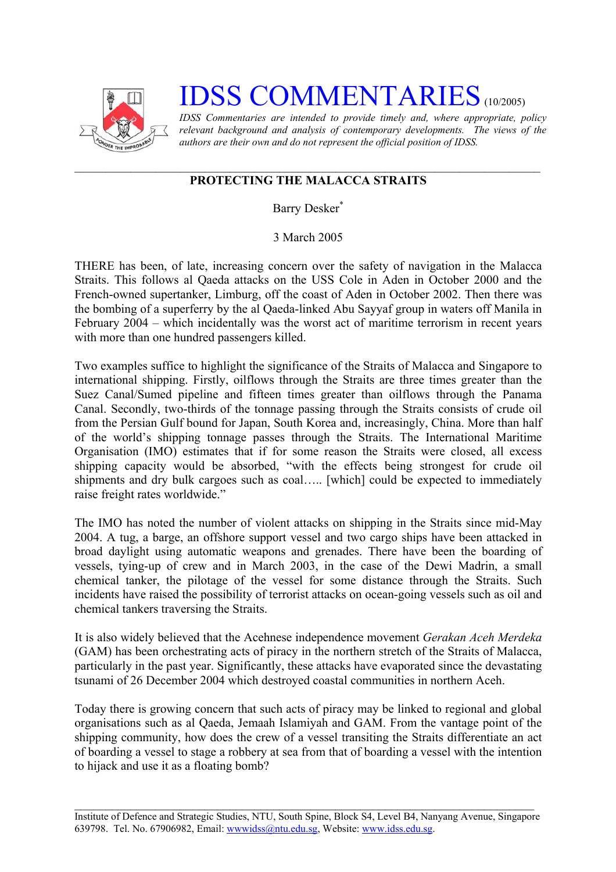

## **IDSS COMMENTARIES** (10/2005)

*IDSS Commentaries are intended to provide timely and, where appropriate, policy relevant background and analysis of contemporary developments. The views of the authors are their own and do not represent the official position of IDSS.* 

## **PROTECTING THE MALACCA STRAITS**

Barry Desker [\\*](#page-2-0)

3 March 2005

THERE has been, of late, increasing concern over the safety of navigation in the Malacca Straits. This follows al Qaeda attacks on the USS Cole in Aden in October 2000 and the French-owned supertanker, Limburg, off the coast of Aden in October 2002. Then there was the bombing of a superferry by the al Qaeda-linked Abu Sayyaf group in waters off Manila in February 2004 – which incidentally was the worst act of maritime terrorism in recent years with more than one hundred passengers killed.

Two examples suffice to highlight the significance of the Straits of Malacca and Singapore to international shipping. Firstly, oilflows through the Straits are three times greater than the Suez Canal/Sumed pipeline and fifteen times greater than oilflows through the Panama Canal. Secondly, two-thirds of the tonnage passing through the Straits consists of crude oil from the Persian Gulf bound for Japan, South Korea and, increasingly, China. More than half of the world's shipping tonnage passes through the Straits. The International Maritime Organisation (IMO) estimates that if for some reason the Straits were closed, all excess shipping capacity would be absorbed, "with the effects being strongest for crude oil shipments and dry bulk cargoes such as coal….. [which] could be expected to immediately raise freight rates worldwide."

The IMO has noted the number of violent attacks on shipping in the Straits since mid-May 2004. A tug, a barge, an offshore support vessel and two cargo ships have been attacked in broad daylight using automatic weapons and grenades. There have been the boarding of vessels, tying-up of crew and in March 2003, in the case of the Dewi Madrin, a small chemical tanker, the pilotage of the vessel for some distance through the Straits. Such incidents have raised the possibility of terrorist attacks on ocean-going vessels such as oil and chemical tankers traversing the Straits.

It is also widely believed that the Acehnese independence movement *Gerakan Aceh Merdeka* (GAM) has been orchestrating acts of piracy in the northern stretch of the Straits of Malacca, particularly in the past year. Significantly, these attacks have evaporated since the devastating tsunami of 26 December 2004 which destroyed coastal communities in northern Aceh.

Today there is growing concern that such acts of piracy may be linked to regional and global organisations such as al Qaeda, Jemaah Islamiyah and GAM. From the vantage point of the shipping community, how does the crew of a vessel transiting the Straits differentiate an act of boarding a vessel to stage a robbery at sea from that of boarding a vessel with the intention to hijack and use it as a floating bomb?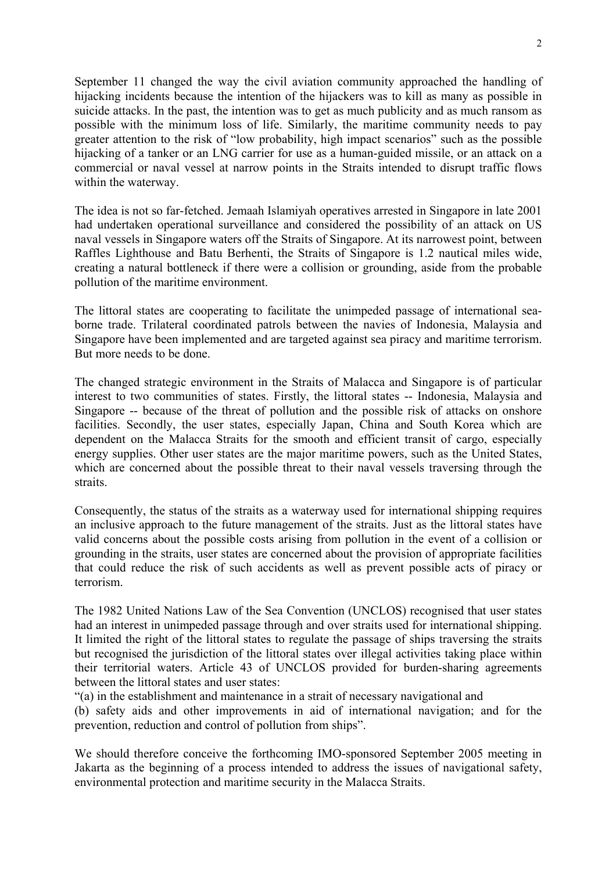September 11 changed the way the civil aviation community approached the handling of hijacking incidents because the intention of the hijackers was to kill as many as possible in suicide attacks. In the past, the intention was to get as much publicity and as much ransom as possible with the minimum loss of life. Similarly, the maritime community needs to pay greater attention to the risk of "low probability, high impact scenarios" such as the possible hijacking of a tanker or an LNG carrier for use as a human-guided missile, or an attack on a commercial or naval vessel at narrow points in the Straits intended to disrupt traffic flows within the waterway.

The idea is not so far-fetched. Jemaah Islamiyah operatives arrested in Singapore in late 2001 had undertaken operational surveillance and considered the possibility of an attack on US naval vessels in Singapore waters off the Straits of Singapore. At its narrowest point, between Raffles Lighthouse and Batu Berhenti, the Straits of Singapore is 1.2 nautical miles wide, creating a natural bottleneck if there were a collision or grounding, aside from the probable pollution of the maritime environment.

The littoral states are cooperating to facilitate the unimpeded passage of international seaborne trade. Trilateral coordinated patrols between the navies of Indonesia, Malaysia and Singapore have been implemented and are targeted against sea piracy and maritime terrorism. But more needs to be done.

The changed strategic environment in the Straits of Malacca and Singapore is of particular interest to two communities of states. Firstly, the littoral states -- Indonesia, Malaysia and Singapore -- because of the threat of pollution and the possible risk of attacks on onshore facilities. Secondly, the user states, especially Japan, China and South Korea which are dependent on the Malacca Straits for the smooth and efficient transit of cargo, especially energy supplies. Other user states are the major maritime powers, such as the United States, which are concerned about the possible threat to their naval vessels traversing through the straits.

Consequently, the status of the straits as a waterway used for international shipping requires an inclusive approach to the future management of the straits. Just as the littoral states have valid concerns about the possible costs arising from pollution in the event of a collision or grounding in the straits, user states are concerned about the provision of appropriate facilities that could reduce the risk of such accidents as well as prevent possible acts of piracy or terrorism.

The 1982 United Nations Law of the Sea Convention (UNCLOS) recognised that user states had an interest in unimpeded passage through and over straits used for international shipping. It limited the right of the littoral states to regulate the passage of ships traversing the straits but recognised the jurisdiction of the littoral states over illegal activities taking place within their territorial waters. Article 43 of UNCLOS provided for burden-sharing agreements between the littoral states and user states:

"(a) in the establishment and maintenance in a strait of necessary navigational and

(b) safety aids and other improvements in aid of international navigation; and for the prevention, reduction and control of pollution from ships".

We should therefore conceive the forthcoming IMO-sponsored September 2005 meeting in Jakarta as the beginning of a process intended to address the issues of navigational safety, environmental protection and maritime security in the Malacca Straits.